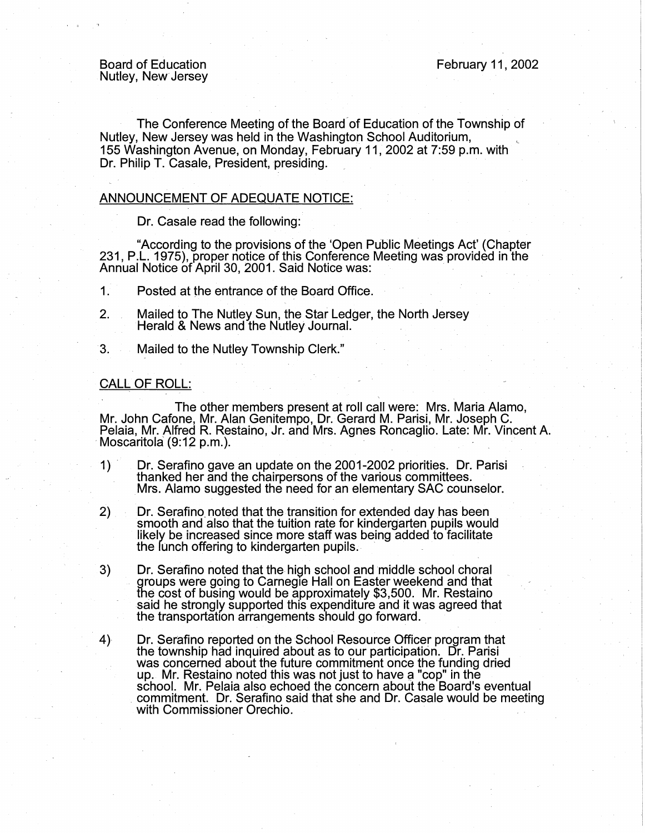Board of Education Nutley, New· Jersey

The Conference Meeting of the Board-of Education of the Township of Nutley, New Jersey was held in the Washington School Auditorium, <sup>L</sup> 155 Washington Avenue, on Monday, February 11, 2002 at 7:59 p.m. with Dr. Philip T. Casale, President, presiding.

## ANNOUNCEMENT OF ADEQUATE NOTICE:

Dr. Casale read the following:

"According to the provisions of the 'Open Public Meetings Act' (Chapter 231, P.L. 1975), proper notice of this Conference Meeting was provided in the Annual Notice of April 30, 2001. Said Notice was:

1. Posted at the entrance of the Board Office.

- 2. Mailed to The Nutley Sun, the Star Ledger, the North Jersey Herald & News and the Nutley Journal. .
- 3. Mailed to the Nutley Township Clerk."

## CALL OF ROLL:

The other members present at roll call were: Mrs. Maria Alamo, Mr. John Cafone, Mr. Alan Genitempo, Dr. Gerard M. Parisi, Mr. Joseph C. Pelaia, Mr. Alfred R. Restaino, Jr. and Mrs. Agnes Roncaglio. Late: Mr. Vincent A.<br>Moscaritola (9:12 p.m.).

- Dr. Serafino gave an update on the 2001-2002 priorities. Dr. Parisi  $\left\langle \right\rangle$ Mrs. Alamo suggested the need for an elementary SAC counselor.
- 2) Dr. Serafino noted that the transition for extended day has been smooth and also that the tuition rate for kindergarten pupils would likely be increased since more staff was being added to facilitate the lunch offering to kindergarten pupils. -
- 3)  $\Box$  Dr. Serafino noted that the high school and middle school choral<br>∈groups were going to Carnegie Hall on Easter weekend and that the cost of busing would be approximately \$3,500. Mr. Restaino said he strongly supported this expenditure and it was agreed that the transportation arrangements should go forward.
- 4) Dr. Serafino reported on the School Resource Officer program that the township had inquired about as to our participation. Dr. Parisi was concerned about the future commitment once the funding dried up. Mr. Restaino noted this was not just to have a "cop" in the school. Mr. Pelaia also echoed the concern about the Board's eventual commitment. Dr. Serafino said that she and Dr. Casale would be meeting with Commissioner Orechio.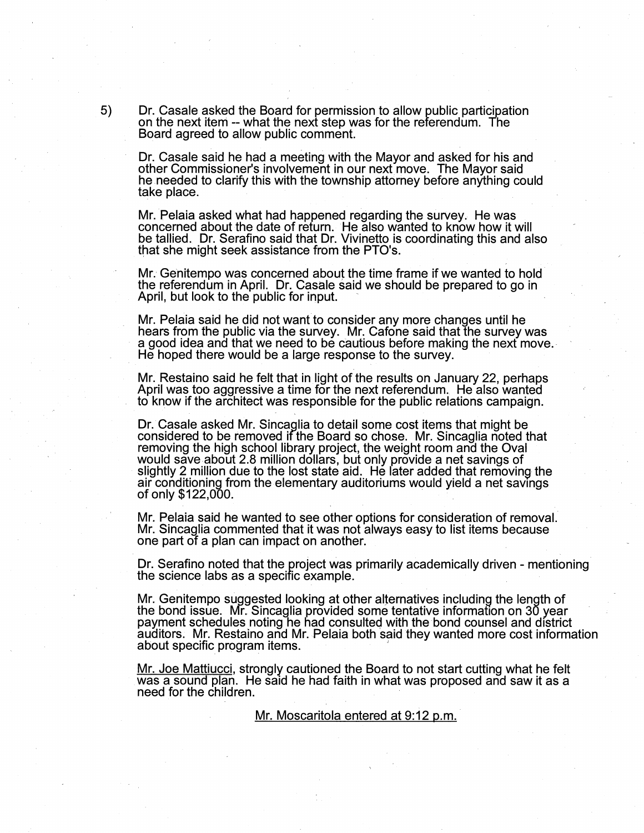5) Dr. Casale asked the Board for permission to allow public participation on the next iteni -- what the next step was for the referendum. The Board agreed to allow public comment.

Dr. Casale said he had a meeting witn the Mayor and asked for his and other Commissioner's involvement in our next move. The Mayor said he needed to clarify this with the township attorney before anything could take place. .

Mr. Pelaia asked what had happened regarding the survey. He was concerned about the date of return. He also wanted to know how it will be tallied. Dr. Serafino said that Dr. Vivinetto is coordinating this and also that she might seek assistance from the PTO's.

Mr. Genitempo was concerned about the time frame if we wanted to hold the referendum in April. Dr. Casale said we should be prepared to go in April, but look to the public for input.

Mr. Pelaia said he did not want to consider any more changes until he hears from the public via the survey. Mr. Cafone said that the survey was a good idea and that we need to be cautious before making the next move.<br>He hoped there would be a large response to the survey.

Mr. Restaino said he felt that in light of the results on January 22, perhaps April was too aggressive a time for the next referendum. He also wanted to know if the architect was responsible for the public relations campaign.

Dr. Casale asked Mr. Sincaglia to detail some cost items that might be considered to be removed ifthe Board so chose. Mr. Sincaglia noted that removing the high school library project, the weight room and the Oval would save about 2.8 million dollars, but only provide a net savings of slightly 2 million due to the lost state aid. He later added that removing the air conditioning from the elementary auditoriums would yield a net savings of only \$122,000.

Mr. Pelaia said he wanted to see other options for consideration of removal. Mr. Sincaglia commented that it was not always easy to list items because one part of a plan can impact on another.

Dr. Serafino noted that the project was primarily academically driven - mentioning the science labs as a specific example. .

Mr. Genitempo suggested looking at other alternatives including the length of the bond issue. Mr. Sincaglia provided some tentative information on 30 year payment schedules noting-he had consulted with the bond counsel and district auditors. Mr. Restaino and Mr. Pelaia both said they wanted more cost information about specific program items.

Mr. Joe Mattiucci, strongly cautioned the Board to not start cutting what he felt was a sound plan. He said he had faith in what was proposed and saw it as a need for the children.

Mr. Moscaritola entered at 9:12 p.m.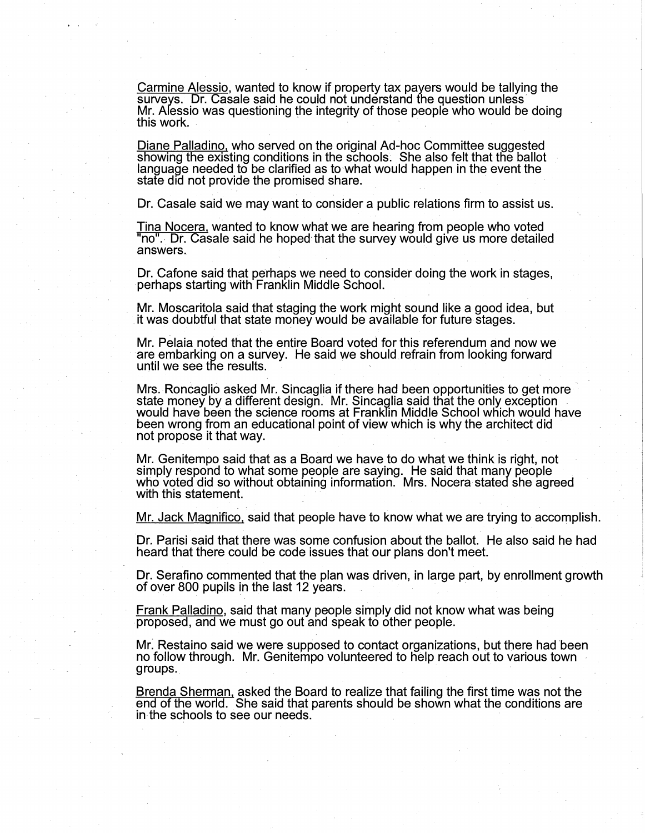Carmine Alessio, wanted to know if property tax payers would be tallying the surveys. Dr. Casale said he could not understand the question unless Mr. Alessio was questioning the integrity of those people who would be doing this work.

Diane Palladino, who served on the original Ad-hoc Committee suggested showing the existing conditions in the schools. She also felt that the ballot language needed to be clarified as to what would happen in the event the state did not provide the promised share.

Dr. Casale said we may want to consider a public relations firm to assist us.

Tina Nocera, wanted to know what we are hearing from people who voted "no". Dr. Casale said he hoped that the survey would give us more detailed answers.

Dr. Catone said that perhaps we need to consider doing the work in stages, perhaps starting with Franklin Middle School.

Mr. Moscaritola said that staging the work might sound like a good idea, but it was doubtful that state money would be available for future stages.

Mr. Pelaia noted that the entire Board voted for this referendum and now we are embarking on a survey. He said we should refrain from looking forward until we see the results.

Mrs. Roncaglio asked Mr. Sincaglia if there had been opportunities to get more state money by a different design. Mr. Sincaglia said that the only exception would have been the science rooms at Franklin Middle School which would have been wrong from an educational point of view which is why the architect did not propose it that way.

Mr. Genitempo said that as a Board we have to do what we think is right, not<br>simply respond to what some people are saying. He said that many people who voted did so without obtaining information. Mrs. Nocera stated she agreed<br>with this statement.

Mr. Jack Magnifico, said that people have to know what we are trying to accomplish.

Dr. Parisi said that there was some confusion about the ballot. He also said he had heard that there could be code issues that our plans don't meet.

Dr. Serafino commented that the plan was driven, in large part, by enrollment growth of over 800 pupils in the last 12 years.

Frank Palladino, said that many people simply did not know what was being proposed, and we must go out and speak to other people.

Mr. Restaino said we were supposed to contact organizations, but there had been no follow through. Mr. Genitempo volunteered to help reach out to various town groups.

Brenda Sherman, asked the Board to realize that failing the first time was not the end of the world. She said that parents should be shown what the conditions are in the schools to see our needs.